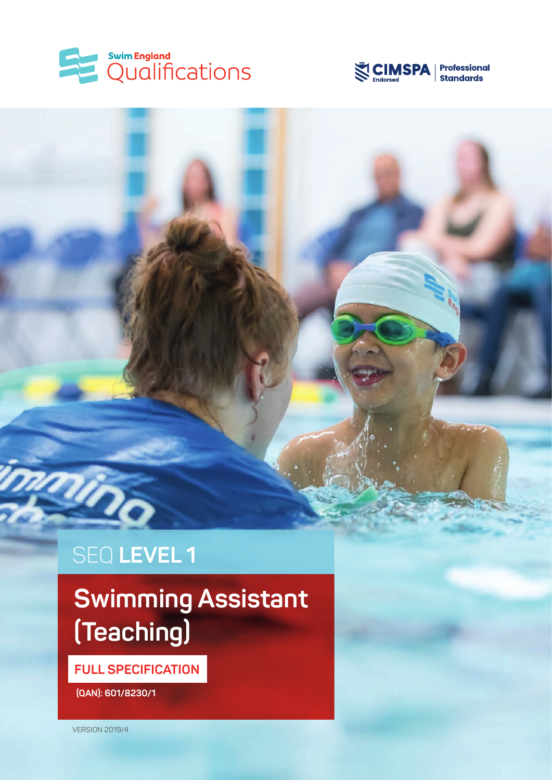



# SEQ **LEVEL 1**

# **Swimming Assistant (Teaching)**

**FULL SPECIFICATION**

 **(QAN): 601/8230/1**

VERSION 2019/4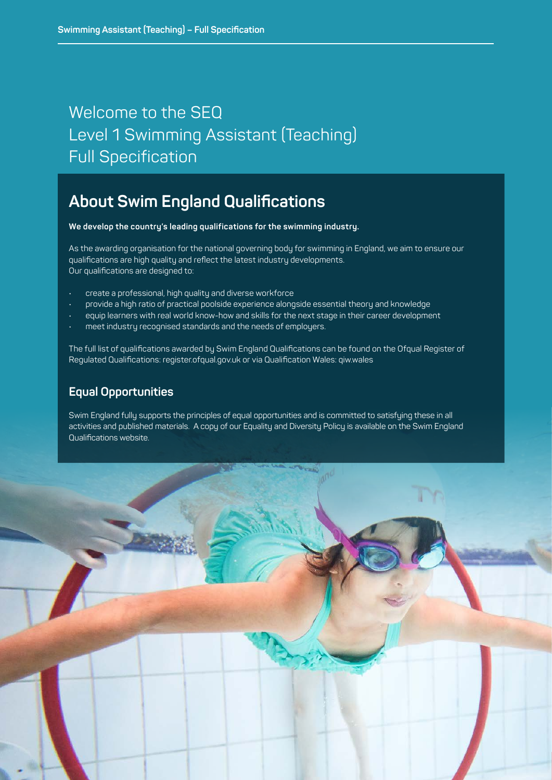### Welcome to the SEQ Level 1 Swimming Assistant (Teaching) Full Specification

### **About Swim England Qualifications**

**We develop the country's leading qualifications for the swimming industry.** 

As the awarding organisation for the national governing body for swimming in England, we aim to ensure our qualifications are high quality and reflect the latest industry developments. Our qualifications are designed to:

- create a professional, high quality and diverse workforce
- provide a high ratio of practical poolside experience alongside essential theory and knowledge
- equip learners with real world know-how and skills for the next stage in their career development
- meet industry recognised standards and the needs of employers.

The full list of qualifications awarded by Swim England Qualifications can be found on the Ofqual Register of Regulated Qualifications: register.ofqual.gov.uk or via Qualification Wales: qiw.wales

### **Equal Opportunities**

Swim England fully supports the principles of equal opportunities and is committed to satisfying these in all activities and published materials. A copy of our Equality and Diversity Policy is available on the Swim England Qualifications website.

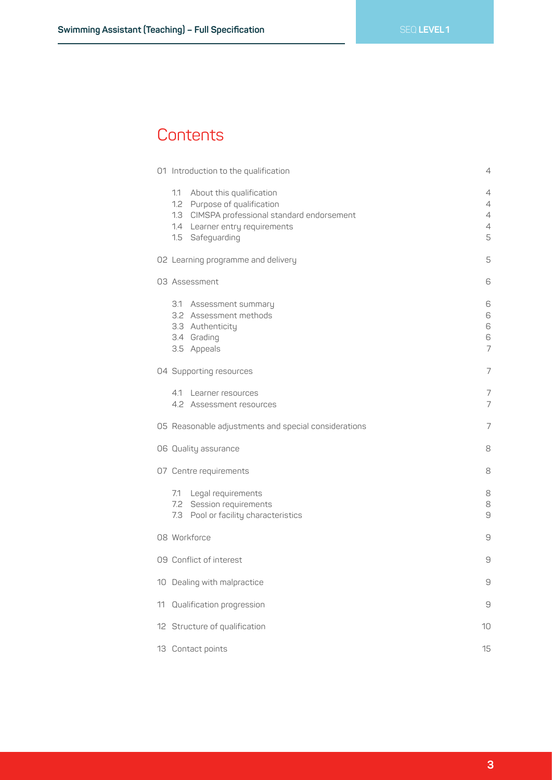### **Contents**

|    | 01 Introduction to the qualification                                                                                                                               | 4                     |
|----|--------------------------------------------------------------------------------------------------------------------------------------------------------------------|-----------------------|
|    | 1.1 About this qualification<br>1.2 Purpose of qualification<br>1.3 CIMSPA professional standard endorsement<br>1.4 Learner entry requirements<br>1.5 Safeguarding | 4<br>4<br>4<br>4<br>5 |
|    | 02 Learning programme and delivery                                                                                                                                 | 5                     |
|    | 03 Assessment                                                                                                                                                      | 6                     |
|    | 3.1 Assessment summary<br>3.2 Assessment methods<br>3.3 Authenticity<br>3.4 Grading<br>3.5 Appeals                                                                 | 6<br>6<br>6<br>6<br>7 |
|    | 04 Supporting resources                                                                                                                                            | 7                     |
|    | 4.1 Learner resources<br>4.2 Assessment resources                                                                                                                  | 7<br>7                |
|    | 05 Reasonable adjustments and special considerations                                                                                                               | 7                     |
|    | 06 Quality assurance                                                                                                                                               | 8                     |
|    | 07 Centre requirements                                                                                                                                             | 8                     |
|    | 7.1 Legal requirements<br>7.2 Session requirements<br>7.3 Pool or facility characteristics                                                                         | 8<br>8<br>$\Theta$    |
|    | 08 Workforce                                                                                                                                                       | $\Theta$              |
|    | 09 Conflict of interest                                                                                                                                            | 9                     |
|    | 10 Dealing with malpractice                                                                                                                                        | 9                     |
| 11 | Qualification progression                                                                                                                                          | $\Theta$              |
|    | 12 Structure of qualification                                                                                                                                      | 10                    |
|    | 13 Contact points                                                                                                                                                  | 15                    |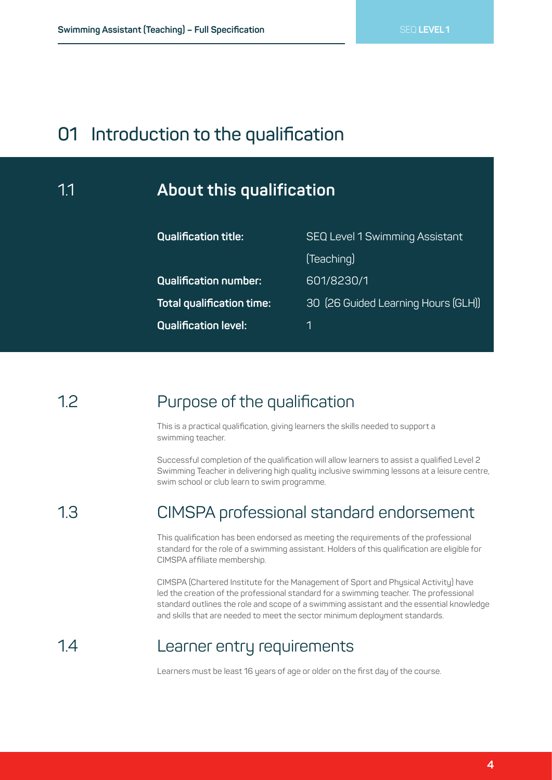### **01 Introduction to the qualification**

### 1.1 **About this qualification**

| <b>Qualification title:</b>      | <b>SEQ Level 1 Swimming Assistant</b> |  |
|----------------------------------|---------------------------------------|--|
|                                  | (Teaching)                            |  |
| <b>Qualification number:</b>     | 601/8230/1                            |  |
| <b>Total qualification time:</b> | 30 (26 Guided Learning Hours (GLH))   |  |
| <b>Qualification level:</b>      |                                       |  |

#### Purpose of the qualification 12

This is a practical qualification, giving learners the skills needed to support a swimming teacher.

Successful completion of the qualification will allow learners to assist a qualified Level 2 Swimming Teacher in delivering high quality inclusive swimming lessons at a leisure centre, swim school or club learn to swim programme.

#### CIMSPA professional standard endorsement 1.3

This qualification has been endorsed as meeting the requirements of the professional standard for the role of a swimming assistant. Holders of this qualification are eligible for CIMSPA affiliate membership.

CIMSPA (Chartered Institute for the Management of Sport and Physical Activity) have led the creation of the professional standard for a swimming teacher. The professional standard outlines the role and scope of a swimming assistant and the essential knowledge and skills that are needed to meet the sector minimum deployment standards.

#### Learner entry requirements 1.4

Learners must be least 16 years of age or older on the first day of the course.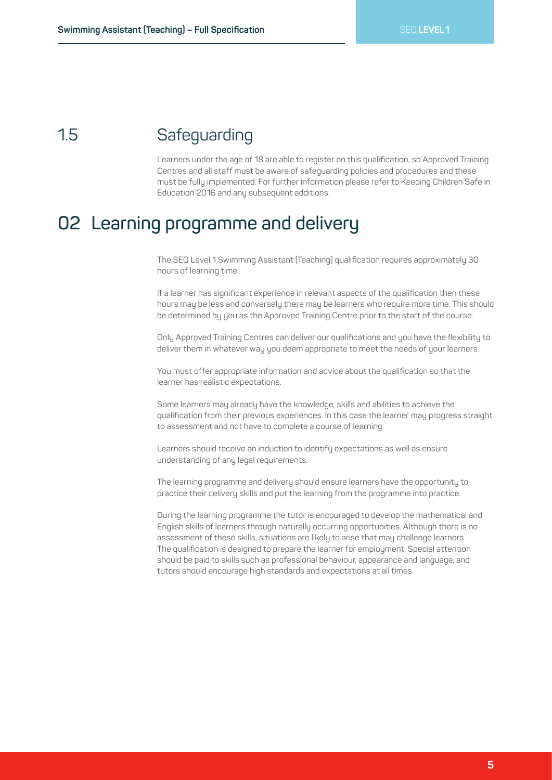#### **Safeguarding** 1.5

Learners under the age of 18 are able to register on this qualification, so Approved Training Centres and all staff must be aware of safeguarding policies and procedures and these must be fully implemented. For further information please refer to Keeping Children Safe in Education 2016 and any subsequent additions.

## **02 Learning programme and delivery**

The SEQ Level 1 Swimming Assistant (Teaching) qualification requires approximately 30 hours of learning time.

If a learner has significant experience in relevant aspects of the qualification then these hours may be less and conversely there may be learners who require more time. This should be determined by you as the Approved Training Centre prior to the start of the course.

Only Approved Training Centres can deliver our qualifications and you have the flexibility to deliver them in whatever way you deem appropriate to meet the needs of your learners.

You must offer appropriate information and advice about the qualification so that the learner has realistic expectations.

Some learners may already have the knowledge, skills and abilities to achieve the qualification from their previous experiences. In this case the learner may progress straight to assessment and not have to complete a course of learning.

Learners should receive an induction to identify expectations as well as ensure understanding of any legal requirements.

The learning programme and delivery should ensure learners have the opportunity to practice their delivery skills and put the learning from the programme into practice.

During the learning programme the tutor is encouraged to develop the mathematical and English skills of learners through naturally occurring opportunities. Although there is no assessment of these skills, situations are likely to arise that may challenge learners. The qualification is designed to prepare the learner for employment. Special attention should be paid to skills such as professional behaviour, appearance and language, and tutors should encourage high standards and expectations at all times.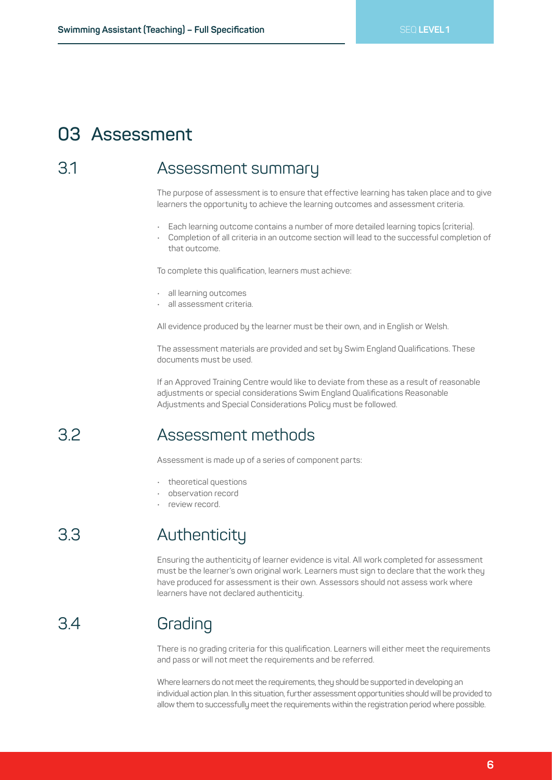### **03 Assessment**

#### Assessment summary 3.1

The purpose of assessment is to ensure that effective learning has taken place and to give learners the opportunity to achieve the learning outcomes and assessment criteria.

- Each learning outcome contains a number of more detailed learning topics (criteria).
- Completion of all criteria in an outcome section will lead to the successful completion of that outcome.

To complete this qualification, learners must achieve:

- all learning outcomes
- all assessment criteria.

All evidence produced by the learner must be their own, and in English or Welsh.

The assessment materials are provided and set by Swim England Qualifications. These documents must be used.

If an Approved Training Centre would like to deviate from these as a result of reasonable adjustments or special considerations Swim England Qualifications Reasonable Adjustments and Special Considerations Policy must be followed.

#### Assessment methods 3.2

Assessment is made up of a series of component parts:

- theoretical questions
- observation record
- review record.

#### Authenticity 3.3

Ensuring the authenticity of learner evidence is vital. All work completed for assessment must be the learner's own original work. Learners must sign to declare that the work they have produced for assessment is their own. Assessors should not assess work where learners have not declared authenticity.

#### **Grading** 3.4

There is no grading criteria for this qualification. Learners will either meet the requirements and pass or will not meet the requirements and be referred.

Where learners do not meet the requirements, they should be supported in developing an individual action plan. In this situation, further assessment opportunities should will be provided to allow them to successfully meet the requirements within the registration period where possible.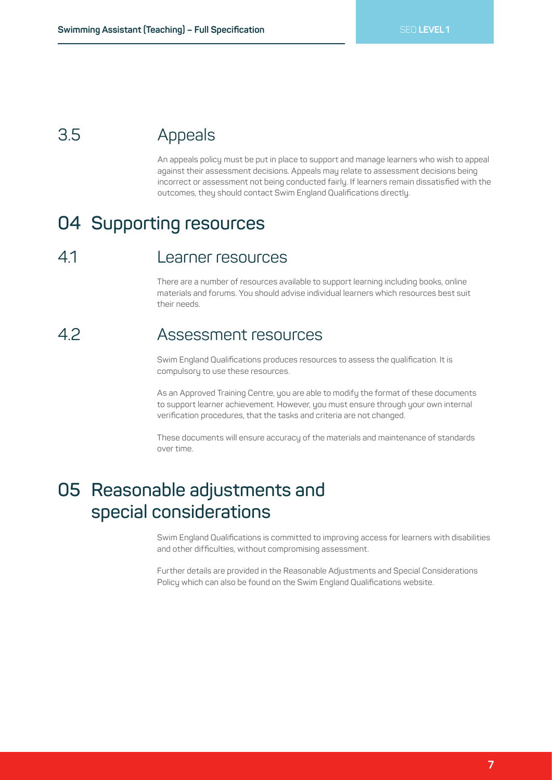#### Appeals 3.5

An appeals policy must be put in place to support and manage learners who wish to appeal against their assessment decisions. Appeals may relate to assessment decisions being incorrect or assessment not being conducted fairly. If learners remain dissatisfied with the outcomes, they should contact Swim England Qualifications directly.

### **04 Supporting resources**

#### Learner resources 4.1

There are a number of resources available to support learning including books, online materials and forums. You should advise individual learners which resources best suit their needs.

#### Assessment resources 4.2

Swim England Qualifications produces resources to assess the qualification. It is compulsory to use these resources.

As an Approved Training Centre, you are able to modify the format of these documents to support learner achievement. However, you must ensure through your own internal verification procedures, that the tasks and criteria are not changed.

These documents will ensure accuracy of the materials and maintenance of standards over time.

### **05 Reasonable adjustments and special considerations**

Swim England Qualifications is committed to improving access for learners with disabilities and other difficulties, without compromising assessment.

Further details are provided in the Reasonable Adjustments and Special Considerations Policy which can also be found on the Swim England Qualifications website.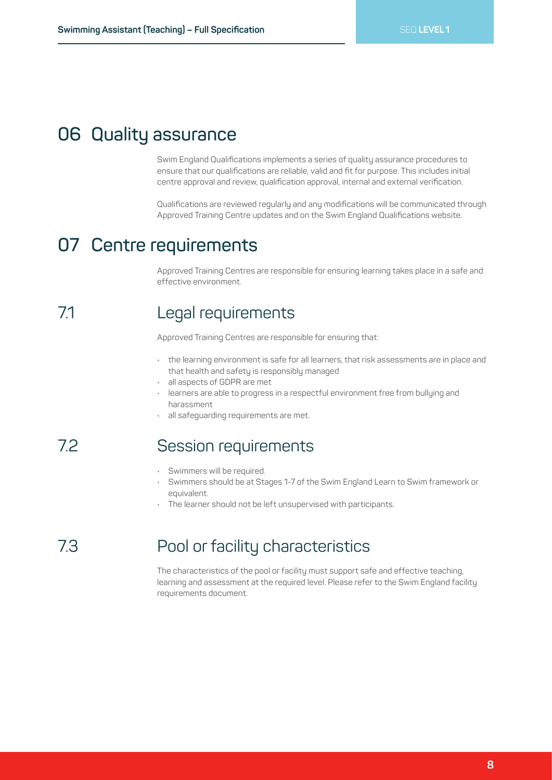### **06 Quality assurance**

Swim England Qualifications implements a series of quality assurance procedures to ensure that our qualifications are reliable, valid and fit for purpose. This includes initial centre approval and review, qualification approval, internal and external verification.

Qualifications are reviewed regularly and any modifications will be communicated through Approved Training Centre updates and on the Swim England Qualifications website.

## **07 Centre requirements**

Approved Training Centres are responsible for ensuring learning takes place in a safe and effective environment.

#### Legal requirements 71

Approved Training Centres are responsible for ensuring that:

- the learning environment is safe for all learners, that risk assessments are in place and that health and safety is responsibly managed
- all aspects of GDPR are met
- learners are able to progress in a respectful environment free from bullying and harassment
- all safequarding requirements are met.

#### Session requirements 7.2

- Swimmers will be required.
- Swimmers should be at Stages 1-7 of the Swim England Learn to Swim framework or equivalent.
- The learner should not be left unsupervised with participants.

#### Pool or facility characteristics 7.3

The characteristics of the pool or facility must support safe and effective teaching, learning and assessment at the required level. Please refer to the Swim England facility requirements document.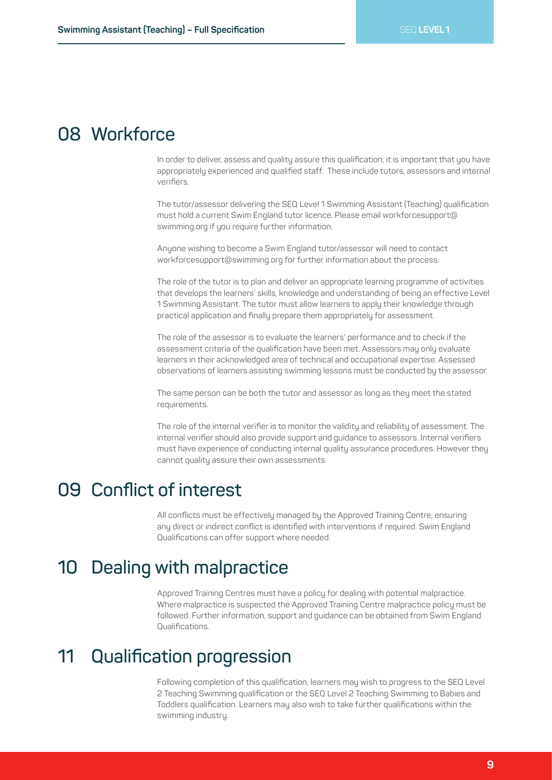### **08 Workforce**

In order to deliver, assess and quality assure this qualification, it is important that you have appropriately experienced and qualified staff. These include tutors, assessors and internal verifiers.

The tutor/assessor delivering the SEQ Level 1 Swimming Assistant (Teaching) qualification must hold a current Swim England tutor licence. Please email workforcesupport@ swimming.org if you require further information.

Anyone wishing to become a Swim England tutor/assessor will need to contact workforcesupport@swimming.org for further information about the process.

The role of the tutor is to plan and deliver an appropriate learning programme of activities that develops the learners' skills, knowledge and understanding of being an effective Level 1 Swimming Assistant. The tutor must allow learners to apply their knowledge through practical application and finally prepare them appropriately for assessment.

The role of the assessor is to evaluate the learners' performance and to check if the assessment criteria of the qualification have been met. Assessors may only evaluate learners in their acknowledged area of technical and occupational expertise. Assessed observations of learners assisting swimming lessons must be conducted by the assessor.

The same person can be both the tutor and assessor as long as they meet the stated requirements.

The role of the internal verifier is to monitor the validity and reliability of assessment. The internal verifier should also provide support and guidance to assessors. Internal verifiers must have experience of conducting internal quality assurance procedures. However they cannot quality assure their own assessments.

### **09 Conflict of interest**

All conflicts must be effectively managed by the Approved Training Centre, ensuring any direct or indirect conflict is identified with interventions if required. Swim England Qualifications can offer support where needed.

### **10 Dealing with malpractice**

Approved Training Centres must have a policy for dealing with potential malpractice. Where malpractice is suspected the Approved Training Centre malpractice policy must be followed. Further information, support and guidance can be obtained from Swim England Qualifications.

### **11 Qualification progression**

Following completion of this qualification, learners may wish to progress to the SEQ Level 2 Teaching Swimming qualification or the SEQ Level 2 Teaching Swimming to Babies and Toddlers qualification. Learners may also wish to take further qualifications within the swimming industry.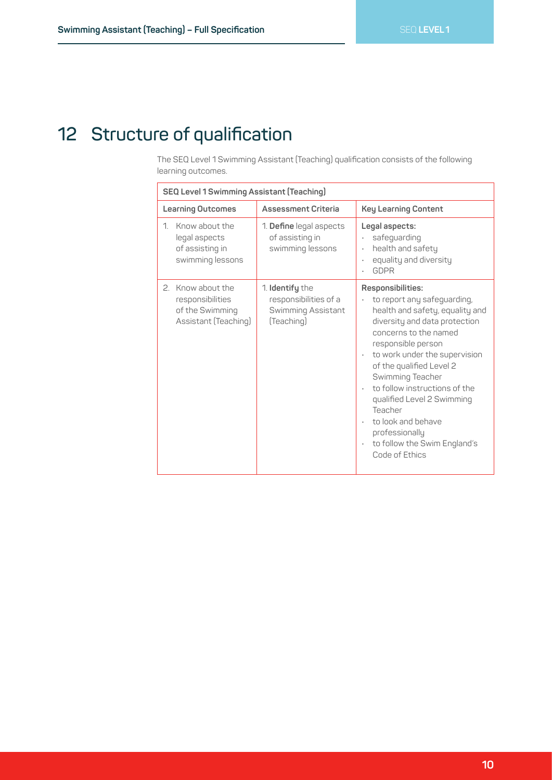## **12 Structure of qualification**

The SEQ Level 1 Swimming Assistant (Teaching) qualification consists of the following learning outcomes.

| <b>SEQ Level 1 Swimming Assistant (Teaching)</b>                                 |                                                                              |                                                                                                                                                                                                                                                                                                                                                                                                                                       |  |
|----------------------------------------------------------------------------------|------------------------------------------------------------------------------|---------------------------------------------------------------------------------------------------------------------------------------------------------------------------------------------------------------------------------------------------------------------------------------------------------------------------------------------------------------------------------------------------------------------------------------|--|
| <b>Learning Outcomes</b>                                                         | <b>Assessment Criteria</b>                                                   | <b>Key Learning Content</b>                                                                                                                                                                                                                                                                                                                                                                                                           |  |
| Know about the<br>1<br>legal aspects<br>of assisting in<br>swimming lessons      | 1. Define legal aspects<br>of assisting in<br>swimming lessons               | Legal aspects:<br>safeguarding<br>health and safety<br>$\bullet$<br>equality and diversity<br>GDPR                                                                                                                                                                                                                                                                                                                                    |  |
| 2. Know about the<br>responsibilities<br>of the Swimming<br>Assistant (Teaching) | 1. Identify the<br>responsibilities of a<br>Swimming Assistant<br>(Teaching) | Responsibilities:<br>to report any safeguarding,<br>health and safety, equality and<br>diversity and data protection<br>concerns to the named<br>responsible person<br>to work under the supervision<br>of the qualified Level 2<br>Swimming Teacher<br>to follow instructions of the<br>qualified Level 2 Swimming<br>Teacher<br>to look and behave<br>professionally<br>to follow the Swim England's<br>$\bullet$<br>Code of Ethics |  |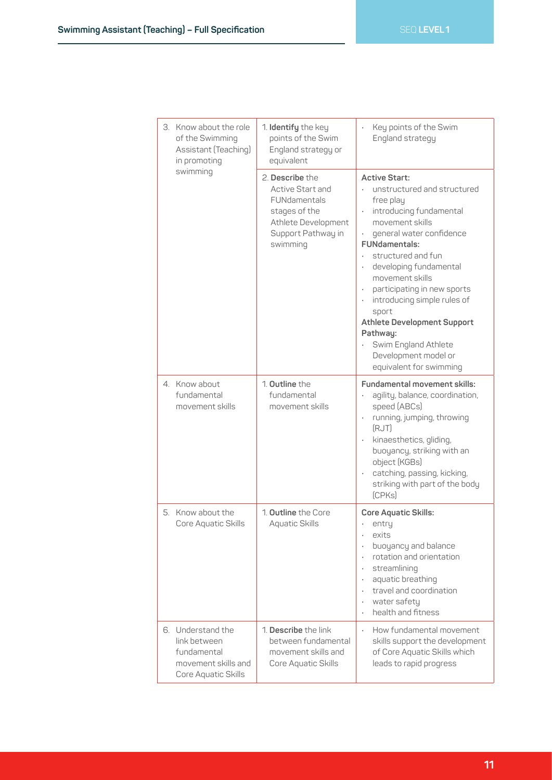|  |                                                  | 3. Know about the role<br>of the Swimming<br>Assistant (Teaching)<br>in promoting | 1. Identify the key<br>points of the Swim<br>England strategy or<br>equivalent                                                | Key points of the Swim<br>England strategy                                                                                                                                                                                                                                                                                                                                                                                                             |
|--|--------------------------------------------------|-----------------------------------------------------------------------------------|-------------------------------------------------------------------------------------------------------------------------------|--------------------------------------------------------------------------------------------------------------------------------------------------------------------------------------------------------------------------------------------------------------------------------------------------------------------------------------------------------------------------------------------------------------------------------------------------------|
|  | swimming                                         |                                                                                   | 2. Describe the<br>Active Start and<br>FUNdamentals<br>stages of the<br>Athlete Development<br>Support Pathway in<br>swimming | <b>Active Start:</b><br>unstructured and structured<br>free play<br>introducing fundamental<br>movement skills<br>general water confidence<br><b>FUNdamentals:</b><br>structured and fun<br>developing fundamental<br>movement skills<br>participating in new sports<br>$\bullet$<br>introducing simple rules of<br>sport<br><b>Athlete Development Support</b><br>Pathway:<br>Swim England Athlete<br>Development model or<br>equivalent for swimming |
|  | 4. Know about<br>fundamental<br>movement skills  |                                                                                   | 1. Outline the<br>fundamental<br>movement skills                                                                              | <b>Fundamental movement skills:</b><br>agility, balance, coordination,<br>speed (ABCs)<br>running, jumping, throwing<br>$\bullet$<br>(RJT)<br>kinaesthetics, gliding,<br>buoyancy, striking with an<br>object (KGBs)<br>catching, passing, kicking,<br>striking with part of the body<br>(CPKs)                                                                                                                                                        |
|  | 5. Know about the                                | Core Aquatic Skills                                                               | 1. Outline the Core<br>Aquatic Skills                                                                                         | Core Aquatic Skills:<br>entry<br>exits<br>buoyancy and balance<br>rotation and orientation<br>streamlining<br>aquatic breathing<br>travel and coordination<br>water safety<br>health and fitness                                                                                                                                                                                                                                                       |
|  | 6. Understand the<br>link between<br>fundamental | movement skills and<br>Core Aquatic Skills                                        | 1. <b>Describe</b> the link<br>between fundamental<br>movement skills and<br>Core Aquatic Skills                              | How fundamental movement<br>$\ddot{\phantom{a}}$<br>skills support the development<br>of Core Aquatic Skills which<br>leads to rapid progress                                                                                                                                                                                                                                                                                                          |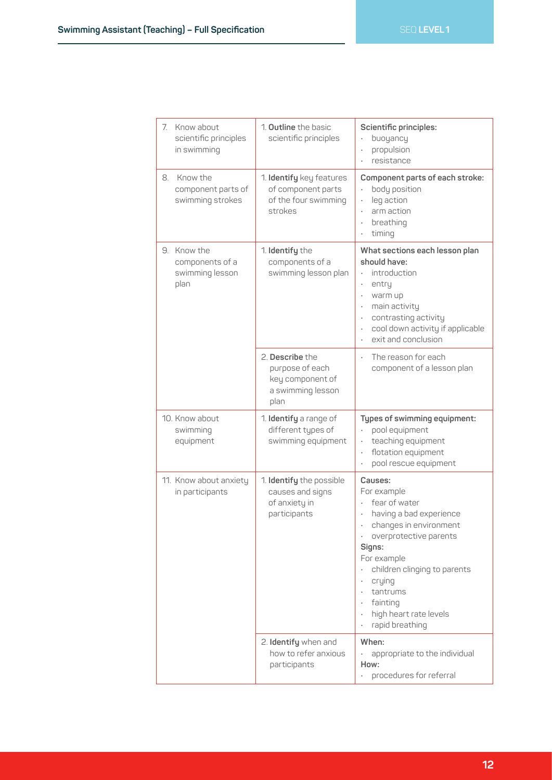Г

| 7. Know about<br>scientific principles<br>in swimming     | 1. <b>Outline</b> the basic<br>scientific principles                                | Scientific principles:<br>buoyancy<br>propulsion<br>resistance                                                                                                                                                                                                                           |
|-----------------------------------------------------------|-------------------------------------------------------------------------------------|------------------------------------------------------------------------------------------------------------------------------------------------------------------------------------------------------------------------------------------------------------------------------------------|
| 8. Know the<br>component parts of<br>swimming strokes     | 1. Identify key features<br>of component parts<br>of the four swimming<br>strokes   | Component parts of each stroke:<br>body position<br>leg action<br>arm action<br>$\bullet$<br>breathing<br>$\bullet$<br>timing<br>$\bullet$                                                                                                                                               |
| 9. Know the<br>components of a<br>swimming lesson<br>plan | 1. Identify the<br>components of a<br>swimming lesson plan                          | What sections each lesson plan<br>should have:<br>introduction<br>entry<br>warm up<br>$\bullet$<br>main activity<br>$\bullet$<br>contrasting activity<br>cool down activity if applicable<br>exit and conclusion                                                                         |
|                                                           | 2. Describe the<br>purpose of each<br>key component of<br>a swimming lesson<br>plan | The reason for each<br>$\ddot{\phantom{0}}$<br>component of a lesson plan                                                                                                                                                                                                                |
| 10. Know about<br>swimming<br>equipment                   | 1. Identify a range of<br>different types of<br>swimming equipment                  | Types of swimming equipment:<br>pool equipment<br>teaching equipment<br>flotation equipment<br>pool rescue equipment                                                                                                                                                                     |
| 11. Know about anxiety<br>in participants                 | 1. Identify the possible<br>causes and signs<br>of anxiety in<br>participants       | Causes:<br>For example<br>fear of water<br>having a bad experience<br>changes in environment<br>overprotective parents<br>Signs:<br>For example<br>children clinging to parents<br>crying<br>$\bullet$<br>tantrums<br>fainting<br>high heart rate levels<br>$\bullet$<br>rapid breathing |
|                                                           | 2. Identify when and<br>how to refer anxious<br>participants                        | When:<br>appropriate to the individual<br>How:<br>procedures for referral                                                                                                                                                                                                                |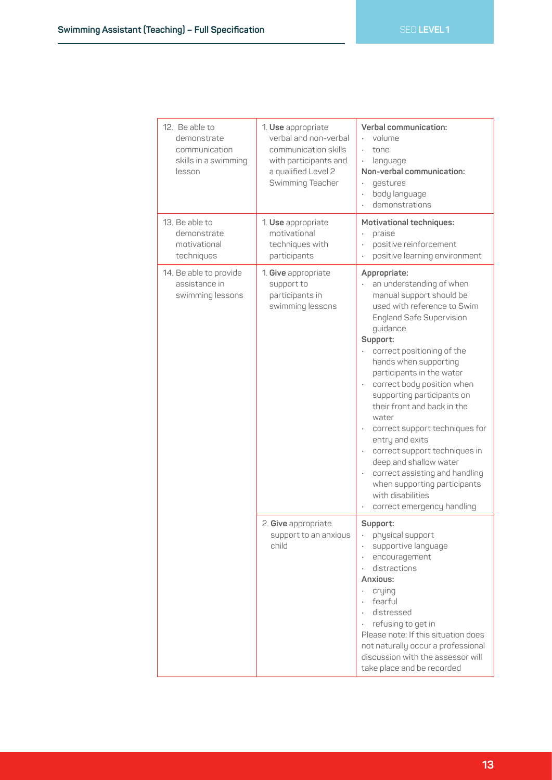| 12. Be able to<br>demonstrate<br>communication<br>skills in a swimming<br>lesson | 1. Use appropriate<br>verbal and non-verbal<br>communication skills<br>with participants and<br>a qualified Level 2<br>Swimming Teacher | Verbal communication:<br>volume<br>tone<br>language<br>$\bullet$<br>Non-verbal communication:<br>qestures<br>body language<br>demonstrations                                                                                                                                                                                                                                                                                                                                                                                                                                                                                                                               |
|----------------------------------------------------------------------------------|-----------------------------------------------------------------------------------------------------------------------------------------|----------------------------------------------------------------------------------------------------------------------------------------------------------------------------------------------------------------------------------------------------------------------------------------------------------------------------------------------------------------------------------------------------------------------------------------------------------------------------------------------------------------------------------------------------------------------------------------------------------------------------------------------------------------------------|
| 13. Be able to<br>demonstrate<br>motivational<br>techniques                      | 1. Use appropriate<br>motivational<br>techniques with<br>participants                                                                   | <b>Motivational techniques:</b><br>praise<br>positive reinforcement<br>positive learning environment<br>$\bullet$                                                                                                                                                                                                                                                                                                                                                                                                                                                                                                                                                          |
| 14. Be able to provide<br>assistance in<br>swimming lessons                      | 1. Give appropriate<br>support to<br>participants in<br>swimming lessons                                                                | Appropriate:<br>an understanding of when<br>manual support should be<br>used with reference to Swim<br><b>England Safe Supervision</b><br>guidance<br>Support:<br>correct positioning of the<br>hands when supporting<br>participants in the water<br>correct body position when<br>$\bullet$<br>supporting participants on<br>their front and back in the<br>water<br>correct support techniques for<br>$\bullet$<br>entry and exits<br>correct support techniques in<br>$\ddot{\phantom{0}}$<br>deep and shallow water<br>correct assisting and handling<br>$\ddot{\phantom{0}}$<br>when supporting participants<br>with disabilities<br>correct emergency handling<br>٠ |
|                                                                                  | 2. Give appropriate<br>support to an anxious<br>child                                                                                   | Support:<br>• physical support<br>supportive language<br>$\bullet$<br>encouragement<br>$\bullet$<br>distractions<br>Anxious:<br>crying<br>$\bullet$<br>fearful<br>$\bullet$<br>distressed<br>refusing to get in<br>Please note: If this situation does<br>not naturally occur a professional<br>discussion with the assessor will<br>take place and be recorded                                                                                                                                                                                                                                                                                                            |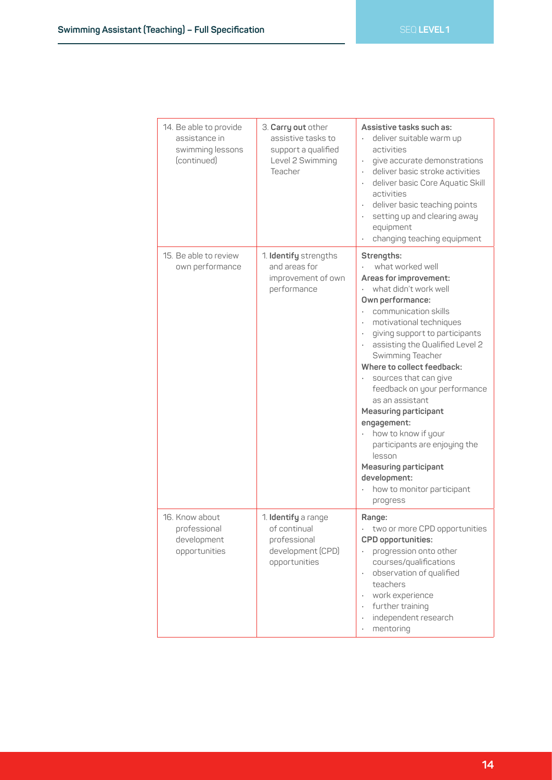| 14. Be able to provide<br>assistance in<br>swimming lessons<br>(continued) | 3. Carry out other<br>assistive tasks to<br>support a qualified<br>Level 2 Swimming<br>Teacher | Assistive tasks such as:<br>deliver suitable warm up<br>activities<br>give accurate demonstrations<br>deliver basic stroke activities<br>deliver basic Core Aquatic Skill<br>activities<br>deliver basic teaching points<br>setting up and clearing away<br>equipment<br>changing teaching equipment                                                                                                                                                                                                                                                                   |
|----------------------------------------------------------------------------|------------------------------------------------------------------------------------------------|------------------------------------------------------------------------------------------------------------------------------------------------------------------------------------------------------------------------------------------------------------------------------------------------------------------------------------------------------------------------------------------------------------------------------------------------------------------------------------------------------------------------------------------------------------------------|
| 15. Be able to review<br>own performance                                   | 1. Identify strengths<br>and areas for<br>improvement of own<br>performance                    | Strengths:<br>what worked well<br>Areas for improvement:<br>what didn't work well<br>Own performance:<br>communication skills<br>motivational techniques<br>giving support to participants<br>assisting the Qualified Level 2<br>Swimming Teacher<br>Where to collect feedback:<br>sources that can give<br>feedback on your performance<br>as an assistant<br><b>Measuring participant</b><br>engagement:<br>how to know if your<br>participants are enjoying the<br>lesson<br><b>Measuring participant</b><br>development:<br>how to monitor participant<br>progress |
| 16. Know about<br>professional<br>development<br>opportunities             | 1. Identify a range<br>of continual<br>professional<br>development (CPD)<br>opportunities      | Range:<br>two or more CPD opportunities<br>CPD opportunities:<br>progression onto other<br>courses/qualifications<br>observation of qualified<br>$\bullet$<br>teachers<br>work experience<br>$\bullet$<br>further training<br>$\bullet$<br>independent research<br>mentoring                                                                                                                                                                                                                                                                                           |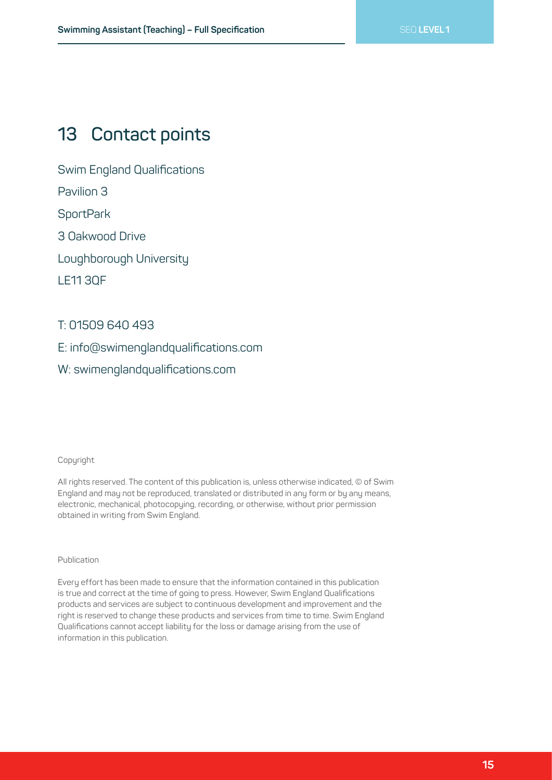### **13 Contact points**

Swim England Qualifications

Pavilion 3

**SportPark** 

3 Oakwood Drive

Loughborough University

LE11 3QF

### T: 01509 640 493

E: info@swimenglandqualifications.com

W: swimenglandqualifications.com

#### Copyright

All rights reserved. The content of this publication is, unless otherwise indicated, © of Swim England and may not be reproduced, translated or distributed in any form or by any means, electronic, mechanical, photocopying, recording, or otherwise, without prior permission obtained in writing from Swim England.

#### Publication

Every effort has been made to ensure that the information contained in this publication is true and correct at the time of going to press. However, Swim England Qualifications products and services are subject to continuous development and improvement and the right is reserved to change these products and services from time to time. Swim England Qualifications cannot accept liability for the loss or damage arising from the use of information in this publication.